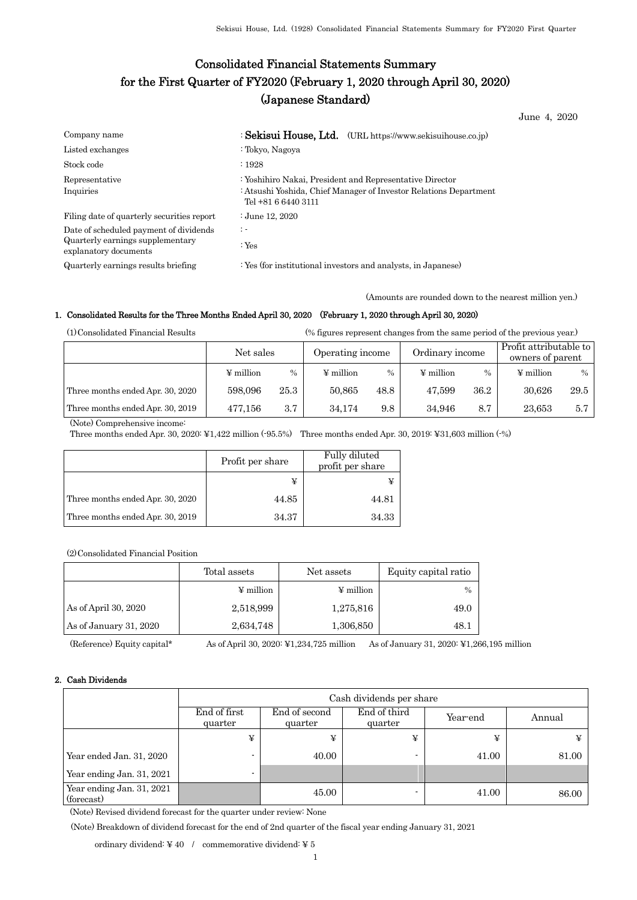# Consolidated Financial Statements Summary for the First Quarter of FY2020 (February 1, 2020 through April 30, 2020) (Japanese Standard)

June 4, 2020

| Company name                                                                                        | : Sekisui House, Ltd. (URL https://www.sekisuihouse.co.jp)                                                                                           |
|-----------------------------------------------------------------------------------------------------|------------------------------------------------------------------------------------------------------------------------------------------------------|
| Listed exchanges                                                                                    | : Tokyo, Nagoya                                                                                                                                      |
| Stock code                                                                                          | :1928                                                                                                                                                |
| Representative<br>Inquiries                                                                         | : Yoshihiro Nakai, President and Representative Director<br>: Atsushi Yoshida, Chief Manager of Investor Relations Department<br>Tel +81 6 6440 3111 |
| Filing date of quarterly securities report                                                          | : June 12, 2020                                                                                                                                      |
| Date of scheduled payment of dividends<br>Quarterly earnings supplementary<br>explanatory documents | $\ddot{z}$<br>: Yes                                                                                                                                  |
| Quarterly earnings results briefing                                                                 | : Yes (for institutional investors and analysts, in Japanese)                                                                                        |

(Amounts are rounded down to the nearest million yen.)

#### 1. Consolidated Results for the Three Months Ended April 30, 2020 (February 1, 2020 through April 30, 2020)

(1)Consolidated Financial Results (% figures represent changes from the same period of the previous year.)

|                                  | Net sales      |      | Operating income |      | Ordinary income |      | Profit attributable to<br>owners of parent |      |
|----------------------------------|----------------|------|------------------|------|-----------------|------|--------------------------------------------|------|
|                                  | $\Psi$ million | $\%$ | $\Psi$ million   | $\%$ | $\Psi$ million  | $\%$ | $\Psi$ million                             | $\%$ |
| Three months ended Apr. 30, 2020 | 598,096        | 25.3 | 50,865           | 48.8 | 47.599          | 36.2 | 30.626                                     | 29.5 |
| Three months ended Apr. 30, 2019 | 477.156        | 3.7  | 34.174           | 9.8  | 34.946          | 8.7  | 23.653                                     | 5.7  |

(Note) Comprehensive income:

Three months ended Apr. 30, 2020: ¥1,422 million (-95.5%) Three months ended Apr. 30, 2019: ¥31,603 million (-%)

|                                  | Profit per share | Fully diluted<br>profit per share |
|----------------------------------|------------------|-----------------------------------|
|                                  |                  |                                   |
| Three months ended Apr. 30, 2020 | 44.85            | 44.81                             |
| Three months ended Apr. 30, 2019 | 34.37            | 34.33                             |

(2)Consolidated Financial Position

|                        | Total assets          | Net assets            | Equity capital ratio |
|------------------------|-----------------------|-----------------------|----------------------|
|                        | $\frac{1}{2}$ million | $\frac{1}{2}$ million | $\frac{0}{0}$        |
| As of April 30, $2020$ | 2,518,999             | 1,275,816             | 49.0                 |
| As of January 31, 2020 | 2,634,748             | 1,306,850             | 48.1                 |

(Reference) Equity capital\* As of April 30, 2020: ¥1,234,725 million As of January 31, 2020: ¥1,266,195 million

### 2. Cash Dividends

|                                         | Cash dividends per share |                          |                         |          |        |  |  |
|-----------------------------------------|--------------------------|--------------------------|-------------------------|----------|--------|--|--|
|                                         | End of first<br>quarter  | End of second<br>quarter | End of third<br>quarter | Year-end | Annual |  |  |
|                                         | ¥                        | ¥                        | ¥                       | ¥        |        |  |  |
| Year ended Jan. 31, 2020                |                          | 40.00                    | ٠                       | 41.00    | 81.00  |  |  |
| Year ending Jan. 31, 2021               |                          |                          |                         |          |        |  |  |
| Year ending Jan. 31, 2021<br>(forecast) |                          | 45.00                    |                         | 41.00    | 86.00  |  |  |

(Note) Revised dividend forecast for the quarter under review: None

(Note) Breakdown of dividend forecast for the end of 2nd quarter of the fiscal year ending January 31, 2021

ordinary dividend:  $\yen$  40  $\,$  /  $\,$  commemorative dividend:  $\yen$  5  $\,$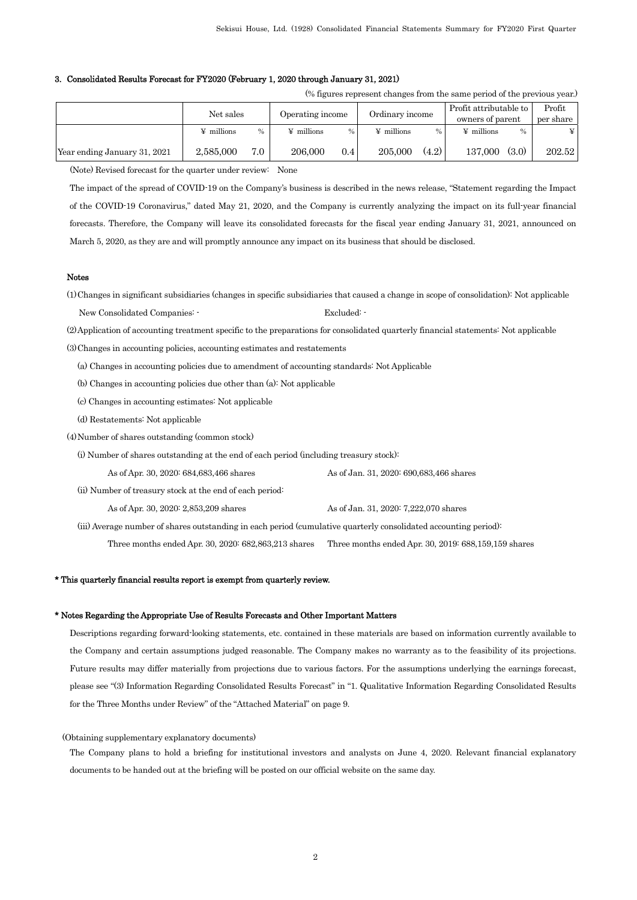#### 3. Consolidated Results Forecast for FY2020 (February 1, 2020 through January 31, 2021)

| (% figures represent changes from the same period of the previous year.) |
|--------------------------------------------------------------------------|
|--------------------------------------------------------------------------|

|                              | Net sales         |      | Operating income  |      | Ordinary income   |               | Profit attributable to<br>owners of parent |               | Profit<br>per share |
|------------------------------|-------------------|------|-------------------|------|-------------------|---------------|--------------------------------------------|---------------|---------------------|
|                              | $\angle$ millions | $\%$ | $\angle$ millions | $\%$ | $\angle$ millions | $\frac{0}{0}$ | $\angle$ millions                          | $\frac{0}{0}$ |                     |
| Year ending January 31, 2021 | 2.585,000         | 7.0  | 206,000           | 0.4  | 205,000           | (4.2)         | 137,000                                    | (3.0)         | 202.52              |

(Note) Revised forecast for the quarter under review: None

The impact of the spread of COVID-19 on the Company's business is described in the news release, "Statement regarding the Impact of the COVID-19 Coronavirus," dated May 21, 2020, and the Company is currently analyzing the impact on its full-year financial forecasts. Therefore, the Company will leave its consolidated forecasts for the fiscal year ending January 31, 2021, announced on March 5, 2020, as they are and will promptly announce any impact on its business that should be disclosed.

#### Notes

(1)Changes in significant subsidiaries (changes in specific subsidiaries that caused a change in scope of consolidation): Not applicable New Consolidated Companies: - Excluded: -

(2)Application of accounting treatment specific to the preparations for consolidated quarterly financial statements: Not applicable

(3)Changes in accounting policies, accounting estimates and restatements

(a) Changes in accounting policies due to amendment of accounting standards: Not Applicable

(b) Changes in accounting policies due other than (a): Not applicable

(c) Changes in accounting estimates: Not applicable

(d) Restatements: Not applicable

(4)Number of shares outstanding (common stock)

(i) Number of shares outstanding at the end of each period (including treasury stock):

As of Apr. 30, 2020: 684,683,466 shares As of Jan. 31, 2020: 690,683,466 shares

(ii) Number of treasury stock at the end of each period:

As of Apr. 30, 2020: 2,853,209 shares As of Jan. 31, 2020: 7,222,070 shares

(iii) Average number of shares outstanding in each period (cumulative quarterly consolidated accounting period):

Three months ended Apr. 30, 2020: 682,863,213 shares Three months ended Apr. 30, 2019: 688,159,159 shares

## \* This quarterly financial results report is exempt from quarterly review.

#### \* Notes Regarding the Appropriate Use of Results Forecasts and Other Important Matters

Descriptions regarding forward-looking statements, etc. contained in these materials are based on information currently available to the Company and certain assumptions judged reasonable. The Company makes no warranty as to the feasibility of its projections. Future results may differ materially from projections due to various factors. For the assumptions underlying the earnings forecast, please see "(3) Information Regarding Consolidated Results Forecast" in "1. Qualitative Information Regarding Consolidated Results for the Three Months under Review" of the "Attached Material" on page 9.

(Obtaining supplementary explanatory documents)

The Company plans to hold a briefing for institutional investors and analysts on June 4, 2020. Relevant financial explanatory documents to be handed out at the briefing will be posted on our official website on the same day.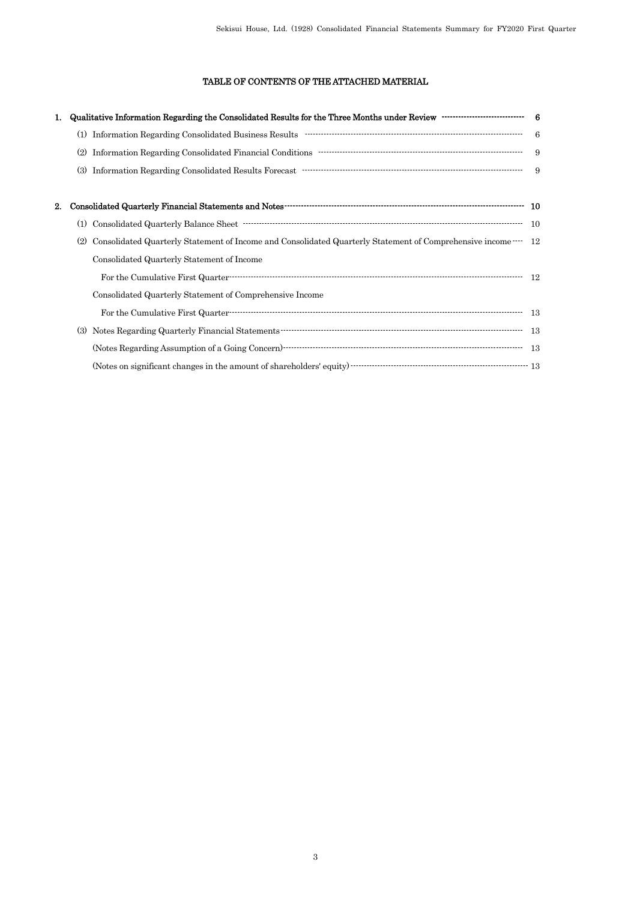# TABLE OF CONTENTS OF THE ATTACHED MATERIAL

|    | Qualitative Information Regarding the Consolidated Results for the Three Months under Review ····························· 6                                                                                                                                                                                                                                                                                          |  |
|----|-----------------------------------------------------------------------------------------------------------------------------------------------------------------------------------------------------------------------------------------------------------------------------------------------------------------------------------------------------------------------------------------------------------------------|--|
|    | (1)                                                                                                                                                                                                                                                                                                                                                                                                                   |  |
|    | (2)                                                                                                                                                                                                                                                                                                                                                                                                                   |  |
|    | $\hbox{Information Regarding Consolidated Results Forecast  \\\hbox{ \begin{minipage}{10cm} \textbf{0.01cm} \textbf{0.01cm} \textbf{0.01cm} \textbf{0.01cm} \textbf{0.01cm} \textbf{0.01cm} \textbf{0.01cm} \textbf{0.01cm} \textbf{0.01cm} \textbf{0.01cm} \textbf{0.01cm} \textbf{0.01cm} \textbf{0.01cm} \textbf{0.01cm} \textbf{0.01cm} \textbf{0.01cm} \textbf{0.01cm} \textbf{0.01cm} \textbf{0.01cm} \$<br>(3) |  |
| 2. |                                                                                                                                                                                                                                                                                                                                                                                                                       |  |
|    | (1)                                                                                                                                                                                                                                                                                                                                                                                                                   |  |
|    | Consolidated Quarterly Statement of Income and Consolidated Quarterly Statement of Comprehensive income  12<br>(2)                                                                                                                                                                                                                                                                                                    |  |
|    | Consolidated Quarterly Statement of Income                                                                                                                                                                                                                                                                                                                                                                            |  |
|    |                                                                                                                                                                                                                                                                                                                                                                                                                       |  |
|    | Consolidated Quarterly Statement of Comprehensive Income                                                                                                                                                                                                                                                                                                                                                              |  |
|    |                                                                                                                                                                                                                                                                                                                                                                                                                       |  |
|    | (3)                                                                                                                                                                                                                                                                                                                                                                                                                   |  |
|    |                                                                                                                                                                                                                                                                                                                                                                                                                       |  |
|    | (Notes on significant changes in the amount of shareholders' equity) $\cdots$ $\cdots$ $\cdots$ $\cdots$ $\cdots$ $\cdots$ $\cdots$ $\cdots$ $\cdots$ $\cdots$ $\cdots$ $\cdots$ $\cdots$ $\cdots$ $\cdots$ $\cdots$ $\cdots$ $\cdots$ $\cdots$ $\cdots$                                                                                                                                                              |  |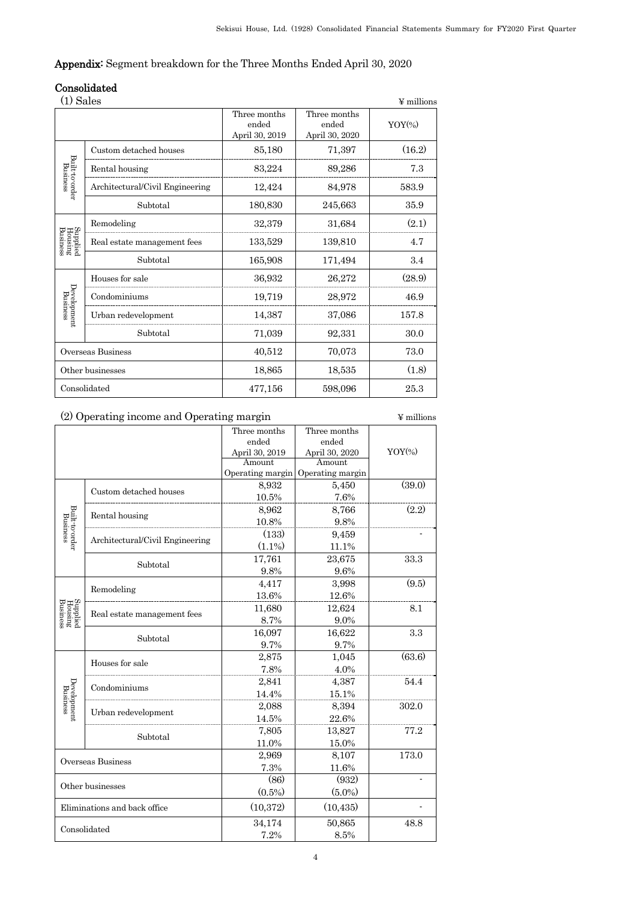# Appendix: Segment breakdown for the Three Months Ended April 30, 2020

# Consolidated

| (1) Sales<br>$\Psi$ millions    |                                 |                                         |                                         |           |  |
|---------------------------------|---------------------------------|-----------------------------------------|-----------------------------------------|-----------|--|
|                                 |                                 | Three months<br>ended<br>April 30, 2019 | Three months<br>ended<br>April 30, 2020 | $YOY$ (%) |  |
|                                 | Custom detached houses          | 85,180                                  | 71,397                                  | (16.2)    |  |
| Built-to-order<br>Business      | Rental housing                  | 83,224                                  | 89,286                                  | 7.3       |  |
|                                 | Architectural/Civil Engineering | 12,424                                  | 84,978                                  | 583.9     |  |
|                                 | Subtotal                        | 180,830                                 | 245,663                                 | 35.9      |  |
| Supplied<br>Housing<br>Business | Remodeling                      | 32,379                                  | 31,684                                  | (2.1)     |  |
|                                 | Real estate management fees     | 133,529                                 | 139,810                                 | 4.7       |  |
|                                 | Subtotal                        | 165,908                                 | 171,494                                 | 3.4       |  |
|                                 | Houses for sale                 | 36,932                                  | 26,272                                  | (28.9)    |  |
| Development<br>Business         | Condominiums                    | 19,719                                  | 28,972                                  | 46.9      |  |
|                                 | Urban redevelopment             | 14,387                                  | 37,086                                  | 157.8     |  |
|                                 | Subtotal                        | 71,039                                  | 92,331                                  | 30.0      |  |
| Overseas Business               |                                 | 40,512                                  | 70,073                                  | 73.0      |  |
| Other businesses                |                                 | 18,865                                  | 18,535                                  | (1.8)     |  |
|                                 | Consolidated                    | 477,156                                 | 598,096                                 | 25.3      |  |

# (2) Operating income and Operating margin  $\qquad$   $\qquad$   $\qquad$   $\qquad$   $\qquad$   $\qquad$   $\qquad$   $\qquad$   $\qquad$   $\qquad$   $\qquad$   $\qquad$   $\qquad$   $\qquad$   $\qquad$   $\qquad$   $\qquad$   $\qquad$   $\qquad$   $\qquad$   $\qquad$   $\qquad$   $\qquad$   $\qquad$   $\qquad$   $\qquad$   $\qquad$   $\qquad$   $\qquad$   $\qquad$

|                                 |                                 | Three months     | Three months     |           |
|---------------------------------|---------------------------------|------------------|------------------|-----------|
|                                 |                                 | ended            | ended            |           |
|                                 |                                 | April 30, 2019   | April 30, 2020   | $YOY$ (%) |
|                                 |                                 | Amount           | Amount           |           |
|                                 |                                 | Operating margin | Operating margin |           |
|                                 | Custom detached houses          | 8,932            | 5,450            | (39.0)    |
|                                 |                                 | 10.5%            | 7.6%             |           |
|                                 |                                 | 8,962            | 8,766            | (2.2)     |
|                                 | Rental housing                  | 10.8%            | 9.8%             |           |
| Built-to-order<br>Business      |                                 | (133)            | 9,459            |           |
|                                 | Architectural/Civil Engineering | $(1.1\%)$        | 11.1%            |           |
|                                 |                                 | 17,761           | 23,675           | 33.3      |
|                                 | Subtotal                        | 9.8%             | 9.6%             |           |
|                                 |                                 | 4,417            | 3,998            | (9.5)     |
|                                 | Remodeling                      | 13.6%            | 12.6%            |           |
| Supplied<br>Housing<br>Business |                                 | 11,680           | 12,624           | 8.1       |
|                                 | Real estate management fees     | 8.7%             | 9.0%             |           |
|                                 | Subtotal                        | 16,097           | 16,622           | 3.3       |
|                                 |                                 | 9.7%             | 9.7%             |           |
|                                 |                                 | 2,875            | 1,045            | (63.6)    |
|                                 | Houses for sale                 | 7.8%             | 4.0%             |           |
| Development<br>Business         |                                 | 2,841            | 4,387            | 54.4      |
|                                 | Condominiums                    | 14.4%            | 15.1%            |           |
|                                 |                                 | 2,088            | 8,394            | 302.0     |
|                                 | Urban redevelopment             | 14.5%            | 22.6%            |           |
|                                 |                                 | 7,805            | 13,827           | 77.2      |
|                                 | Subtotal                        | 11.0%            | 15.0%            |           |
| Overseas Business               |                                 | 2,969            | 8,107            | 173.0     |
|                                 |                                 | 7.3%             | 11.6%            |           |
|                                 |                                 | (86)             | (932)            |           |
|                                 | Other businesses                | $(0.5\%)$        | $(5.0\%)$        |           |
|                                 | Eliminations and back office    | (10, 372)        | (10, 435)        |           |
|                                 |                                 | 34,174           | 50,865           | 48.8      |
| Consolidated                    |                                 | 7.2%             | 8.5%             |           |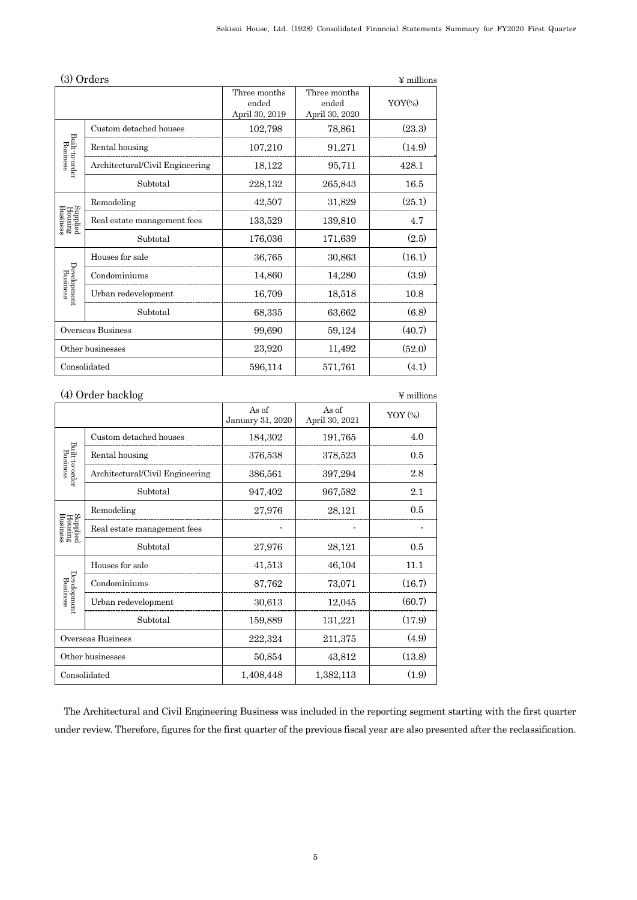|                                 | (3) Orders                      |                                         |                                         | $\Psi$ millions      |
|---------------------------------|---------------------------------|-----------------------------------------|-----------------------------------------|----------------------|
|                                 |                                 | Three months<br>ended<br>April 30, 2019 | Three months<br>ended<br>April 30, 2020 | $YOY$ <sup>(%)</sup> |
|                                 | Custom detached houses          | 102,798                                 | 78,861                                  | (23.3)               |
|                                 | Rental housing                  | 107,210                                 | 91,271                                  | (14.9)               |
| Built-to-order<br>Business      | Architectural/Civil Engineering | 18,122                                  | 95,711                                  | 428.1                |
|                                 | Subtotal                        | 228,132                                 | 265,843                                 | 16.5                 |
|                                 | Remodeling                      | 42,507                                  | 31,829                                  | (25.1)               |
| Supplied<br>Housing<br>Business | Real estate management fees     | 133,529                                 | 139,810                                 | 4.7                  |
|                                 | Subtotal                        | 176,036                                 | 171,639                                 | (2.5)                |
|                                 | Houses for sale                 | 36,765                                  | 30,863                                  | (16.1)               |
| Development<br>Business         | Condominiums                    | 14,860                                  | 14,280                                  | (3.9)                |
|                                 | Urban redevelopment             | 16,709                                  | 18,518                                  | 10.8                 |
|                                 | Subtotal                        | 68,335                                  | 63,662                                  | (6.8)                |
|                                 | Overseas Business               | 99,690                                  | 59,124                                  | (40.7)               |
| Other businesses                |                                 | 23,920                                  | 11,492                                  | (52.0)               |
| Consolidated                    |                                 | 596,114                                 | 571,761                                 | (4.1)                |

# (4) Order backlog ¥ millions

|                                 |                                 | As of<br>January 31, 2020 | As of<br>April 30, 2021 | $YOY$ $(*)$ |
|---------------------------------|---------------------------------|---------------------------|-------------------------|-------------|
| Built-to-order<br>Business      | Custom detached houses          | 184,302                   | 191,765                 | 4.0         |
|                                 | Rental housing                  | 376,538                   | 378,523                 | 0.5         |
|                                 | Architectural/Civil Engineering | 386,561                   | 397,294                 | 2.8         |
|                                 | Subtotal                        | 947,402                   | 967,582                 | 2.1         |
| Supplied<br>Housing<br>Business | Remodeling                      | 27,976                    | 28,121                  | 0.5         |
|                                 | Real estate management fees     |                           |                         |             |
|                                 | Subtotal                        | 27,976                    | 28,121                  | 0.5         |
|                                 | Houses for sale                 | 41,513                    | 46,104                  | 11.1        |
| Business                        | Condominiums                    | 87,762                    | 73,071                  | (16.7)      |
| Development                     | Urban redevelopment             | 30,613                    | 12,045                  | (60.7)      |
|                                 | Subtotal                        | 159,889                   | 131,221                 | (17.9)      |
| Overseas Business               |                                 | 222,324                   | 211,375                 | (4.9)       |
| Other businesses                |                                 | 50,854                    | 43,812                  | (13.8)      |
| Consolidated                    |                                 | 1,408,448                 | 1,382,113               | (1.9)       |

The Architectural and Civil Engineering Business was included in the reporting segment starting with the first quarter under review. Therefore, figures for the first quarter of the previous fiscal year are also presented after the reclassification.

#### 5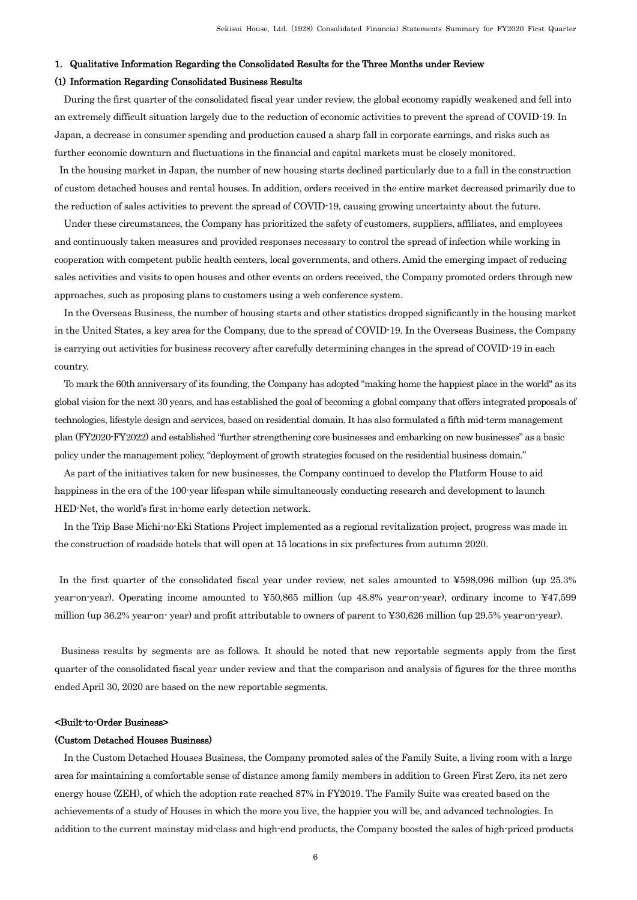#### 1. Qualitative Information Regarding the Consolidated Results for the Three Months under Review

#### (1) Information Regarding Consolidated Business Results

During the first quarter of the consolidated fiscal year under review, the global economy rapidly weakened and fell into an extremely difficult situation largely due to the reduction of economic activities to prevent the spread of COVID-19. In Japan, a decrease in consumer spending and production caused a sharp fall in corporate earnings, and risks such as further economic downturn and fluctuations in the financial and capital markets must be closely monitored.

In the housing market in Japan, the number of new housing starts declined particularly due to a fall in the construction of custom detached houses and rental houses. In addition, orders received in the entire market decreased primarily due to the reduction of sales activities to prevent the spread of COVID-19, causing growing uncertainty about the future.

Under these circumstances, the Company has prioritized the safety of customers, suppliers, affiliates, and employees and continuously taken measures and provided responses necessary to control the spread of infection while working in cooperation with competent public health centers, local governments, and others. Amid the emerging impact of reducing sales activities and visits to open houses and other events on orders received, the Company promoted orders through new approaches, such as proposing plans to customers using a web conference system.

In the Overseas Business, the number of housing starts and other statistics dropped significantly in the housing market in the United States, a key area for the Company, due to the spread of COVID-19. In the Overseas Business, the Company is carrying out activities for business recovery after carefully determining changes in the spread of COVID-19 in each country.

To mark the 60th anniversary of its founding, the Company has adopted "making home the happiest place in the world" as its global vision for the next 30 years, and has established the goal of becoming a global company that offers integrated proposals of technologies, lifestyle design and services, based on residential domain. It has also formulated a fifth mid-term management plan (FY2020-FY2022) and established "further strengthening core businesses and embarking on new businesses" as a basic policy under the management policy, "deployment of growth strategies focused on the residential business domain."

As part of the initiatives taken for new businesses, the Company continued to develop the Platform House to aid happiness in the era of the 100-year lifespan while simultaneously conducting research and development to launch HED-Net, the world's first in-home early detection network.

In the Trip Base Michi-no-Eki Stations Project implemented as a regional revitalization project, progress was made in the construction of roadside hotels that will open at 15 locations in six prefectures from autumn 2020.

In the first quarter of the consolidated fiscal year under review, net sales amounted to ¥598,096 million (up 25.3% year-on-year). Operating income amounted to ¥50,865 million (up 48.8% year-on-year), ordinary income to ¥47,599 million (up 36.2% year-on- year) and profit attributable to owners of parent to ¥30,626 million (up 29.5% year-on-year).

Business results by segments are as follows. It should be noted that new reportable segments apply from the first quarter of the consolidated fiscal year under review and that the comparison and analysis of figures for the three months ended April 30, 2020 are based on the new reportable segments.

#### <Built-to-Order Business>

#### (Custom Detached Houses Business)

In the Custom Detached Houses Business, the Company promoted sales of the Family Suite, a living room with a large area for maintaining a comfortable sense of distance among family members in addition to Green First Zero, its net zero energy house (ZEH), of which the adoption rate reached 87% in FY2019. The Family Suite was created based on the achievements of a study of Houses in which the more you live, the happier you will be, and advanced technologies. In addition to the current mainstay mid-class and high-end products, the Company boosted the sales of high-priced products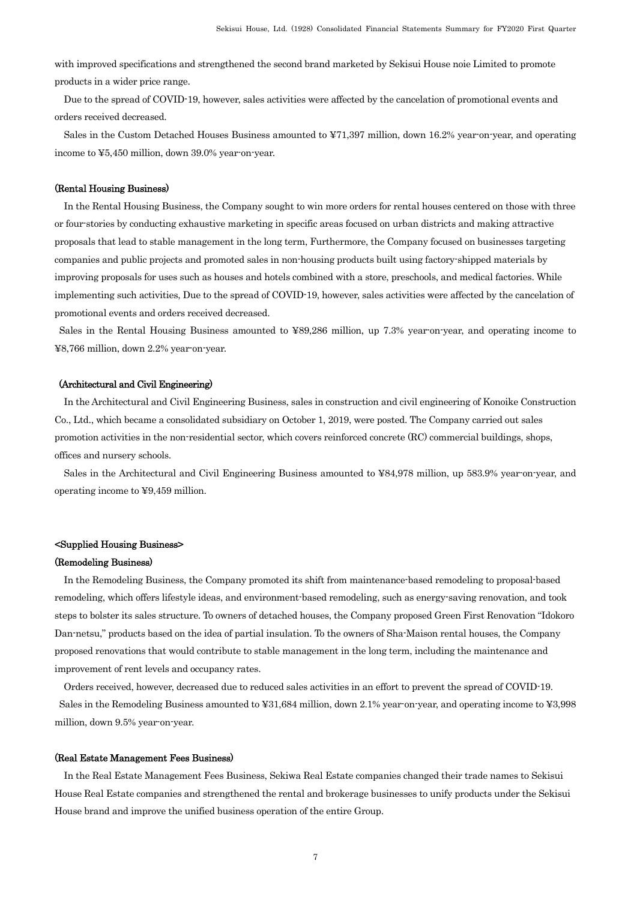with improved specifications and strengthened the second brand marketed by Sekisui House noie Limited to promote products in a wider price range.

Due to the spread of COVID-19, however, sales activities were affected by the cancelation of promotional events and orders received decreased.

Sales in the Custom Detached Houses Business amounted to ¥71,397 million, down 16.2% year-on-year, and operating income to ¥5,450 million, down 39.0% year-on-year.

#### (Rental Housing Business)

In the Rental Housing Business, the Company sought to win more orders for rental houses centered on those with three or four-stories by conducting exhaustive marketing in specific areas focused on urban districts and making attractive proposals that lead to stable management in the long term, Furthermore, the Company focused on businesses targeting companies and public projects and promoted sales in non-housing products built using factory-shipped materials by improving proposals for uses such as houses and hotels combined with a store, preschools, and medical factories. While implementing such activities, Due to the spread of COVID-19, however, sales activities were affected by the cancelation of promotional events and orders received decreased.

Sales in the Rental Housing Business amounted to ¥89,286 million, up 7.3% year-on-year, and operating income to ¥8,766 million, down 2.2% year-on-year.

#### (Architectural and Civil Engineering)

In the Architectural and Civil Engineering Business, sales in construction and civil engineering of Konoike Construction Co., Ltd., which became a consolidated subsidiary on October 1, 2019, were posted. The Company carried out sales promotion activities in the non-residential sector, which covers reinforced concrete (RC) commercial buildings, shops, offices and nursery schools.

Sales in the Architectural and Civil Engineering Business amounted to ¥84,978 million, up 583.9% year-on-year, and operating income to ¥9,459 million.

#### <Supplied Housing Business>

#### (Remodeling Business)

In the Remodeling Business, the Company promoted its shift from maintenance-based remodeling to proposal-based remodeling, which offers lifestyle ideas, and environment-based remodeling, such as energy-saving renovation, and took steps to bolster its sales structure. To owners of detached houses, the Company proposed Green First Renovation "Idokoro Dan-netsu," products based on the idea of partial insulation. To the owners of Sha-Maison rental houses, the Company proposed renovations that would contribute to stable management in the long term, including the maintenance and improvement of rent levels and occupancy rates.

Orders received, however, decreased due to reduced sales activities in an effort to prevent the spread of COVID-19. Sales in the Remodeling Business amounted to ¥31,684 million, down 2.1% year-on-year, and operating income to ¥3,998 million, down 9.5% year-on-year.

#### (Real Estate Management Fees Business)

In the Real Estate Management Fees Business, Sekiwa Real Estate companies changed their trade names to Sekisui House Real Estate companies and strengthened the rental and brokerage businesses to unify products under the Sekisui House brand and improve the unified business operation of the entire Group.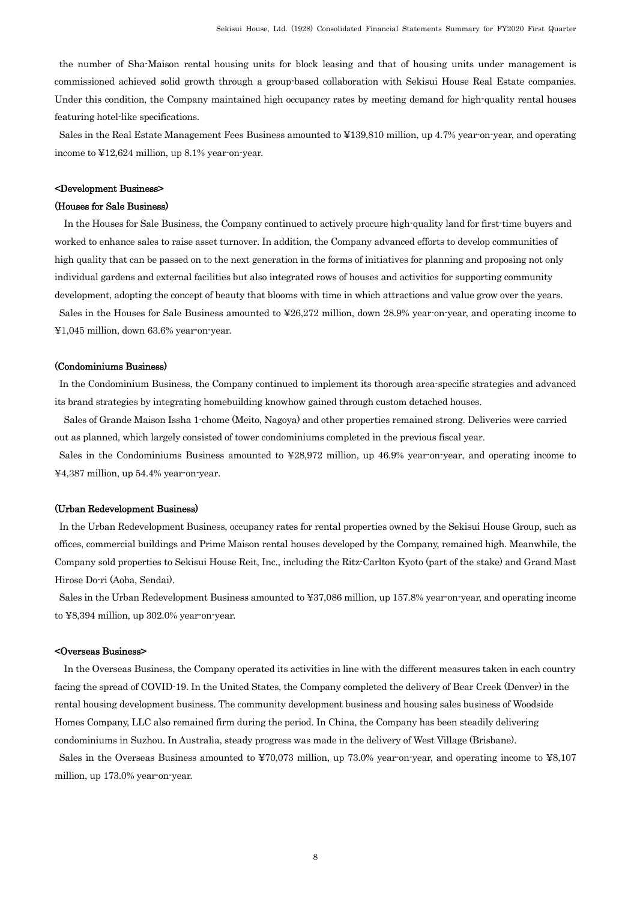the number of Sha-Maison rental housing units for block leasing and that of housing units under management is commissioned achieved solid growth through a group-based collaboration with Sekisui House Real Estate companies. Under this condition, the Company maintained high occupancy rates by meeting demand for high-quality rental houses featuring hotel-like specifications.

Sales in the Real Estate Management Fees Business amounted to ¥139,810 million, up 4.7% year-on-year, and operating income to ¥12,624 million, up 8.1% year-on-year.

#### <Development Business>

#### (Houses for Sale Business)

In the Houses for Sale Business, the Company continued to actively procure high-quality land for first-time buyers and worked to enhance sales to raise asset turnover. In addition, the Company advanced efforts to develop communities of high quality that can be passed on to the next generation in the forms of initiatives for planning and proposing not only individual gardens and external facilities but also integrated rows of houses and activities for supporting community development, adopting the concept of beauty that blooms with time in which attractions and value grow over the years. Sales in the Houses for Sale Business amounted to ¥26,272 million, down 28.9% year-on-year, and operating income to ¥1,045 million, down 63.6% year-on-year.

#### (Condominiums Business)

In the Condominium Business, the Company continued to implement its thorough area-specific strategies and advanced its brand strategies by integrating homebuilding knowhow gained through custom detached houses.

Sales of Grande Maison Issha 1-chome (Meito, Nagoya) and other properties remained strong. Deliveries were carried out as planned, which largely consisted of tower condominiums completed in the previous fiscal year.

Sales in the Condominiums Business amounted to ¥28,972 million, up 46.9% year-on-year, and operating income to ¥4,387 million, up 54.4% year-on-year.

#### (Urban Redevelopment Business)

In the Urban Redevelopment Business, occupancy rates for rental properties owned by the Sekisui House Group, such as offices, commercial buildings and Prime Maison rental houses developed by the Company, remained high. Meanwhile, the Company sold properties to Sekisui House Reit, Inc., including the Ritz-Carlton Kyoto (part of the stake) and Grand Mast Hirose Do-ri (Aoba, Sendai).

Sales in the Urban Redevelopment Business amounted to ¥37,086 million, up 157.8% year-on-year, and operating income to ¥8,394 million, up 302.0% year-on-year.

#### <Overseas Business>

In the Overseas Business, the Company operated its activities in line with the different measures taken in each country facing the spread of COVID-19. In the United States, the Company completed the delivery of Bear Creek (Denver) in the rental housing development business. The community development business and housing sales business of Woodside Homes Company, LLC also remained firm during the period. In China, the Company has been steadily delivering condominiums in Suzhou. In Australia, steady progress was made in the delivery of West Village (Brisbane).

Sales in the Overseas Business amounted to ¥70,073 million, up 73.0% year-on-year, and operating income to ¥8,107 million, up 173.0% year-on-year.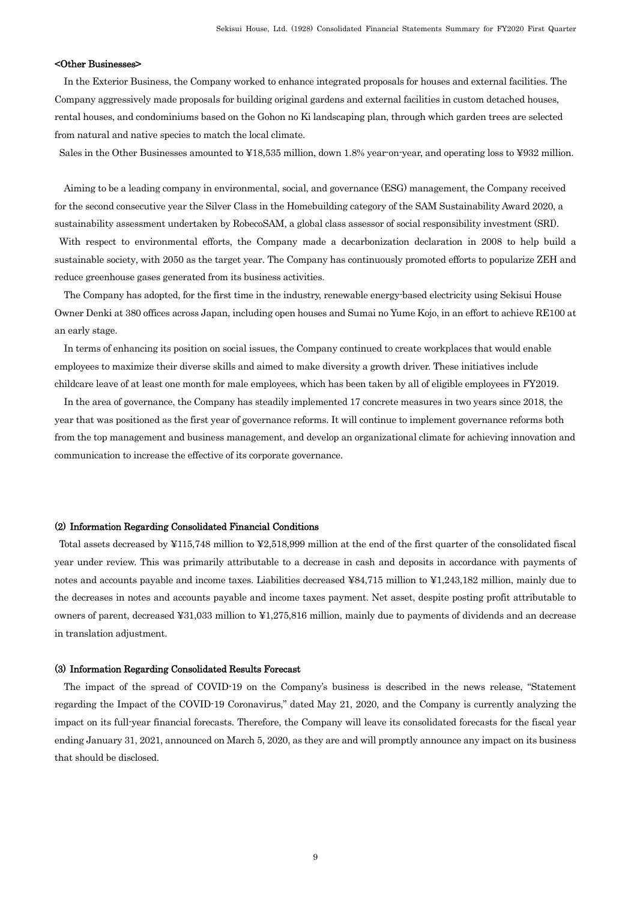#### <Other Businesses>

In the Exterior Business, the Company worked to enhance integrated proposals for houses and external facilities. The Company aggressively made proposals for building original gardens and external facilities in custom detached houses, rental houses, and condominiums based on the Gohon no Ki landscaping plan, through which garden trees are selected from natural and native species to match the local climate.

Sales in the Other Businesses amounted to ¥18,535 million, down 1.8% year-on-year, and operating loss to ¥932 million.

Aiming to be a leading company in environmental, social, and governance (ESG) management, the Company received for the second consecutive year the Silver Class in the Homebuilding category of the SAM Sustainability Award 2020, a sustainability assessment undertaken by RobecoSAM, a global class assessor of social responsibility investment (SRI). With respect to environmental efforts, the Company made a decarbonization declaration in 2008 to help build a

sustainable society, with 2050 as the target year. The Company has continuously promoted efforts to popularize ZEH and reduce greenhouse gases generated from its business activities.

The Company has adopted, for the first time in the industry, renewable energy-based electricity using Sekisui House Owner Denki at 380 offices across Japan, including open houses and Sumai no Yume Kojo, in an effort to achieve RE100 at an early stage.

In terms of enhancing its position on social issues, the Company continued to create workplaces that would enable employees to maximize their diverse skills and aimed to make diversity a growth driver. These initiatives include childcare leave of at least one month for male employees, which has been taken by all of eligible employees in FY2019.

In the area of governance, the Company has steadily implemented 17 concrete measures in two years since 2018, the year that was positioned as the first year of governance reforms. It will continue to implement governance reforms both from the top management and business management, and develop an organizational climate for achieving innovation and communication to increase the effective of its corporate governance.

#### (2) Information Regarding Consolidated Financial Conditions

Total assets decreased by ¥115,748 million to ¥2,518,999 million at the end of the first quarter of the consolidated fiscal year under review. This was primarily attributable to a decrease in cash and deposits in accordance with payments of notes and accounts payable and income taxes. Liabilities decreased ¥84,715 million to ¥1,243,182 million, mainly due to the decreases in notes and accounts payable and income taxes payment. Net asset, despite posting profit attributable to owners of parent, decreased ¥31,033 million to ¥1,275,816 million, mainly due to payments of dividends and an decrease in translation adjustment.

#### (3) Information Regarding Consolidated Results Forecast

The impact of the spread of COVID-19 on the Company's business is described in the news release, "Statement regarding the Impact of the COVID-19 Coronavirus," dated May 21, 2020, and the Company is currently analyzing the impact on its full-year financial forecasts. Therefore, the Company will leave its consolidated forecasts for the fiscal year ending January 31, 2021, announced on March 5, 2020, as they are and will promptly announce any impact on its business that should be disclosed.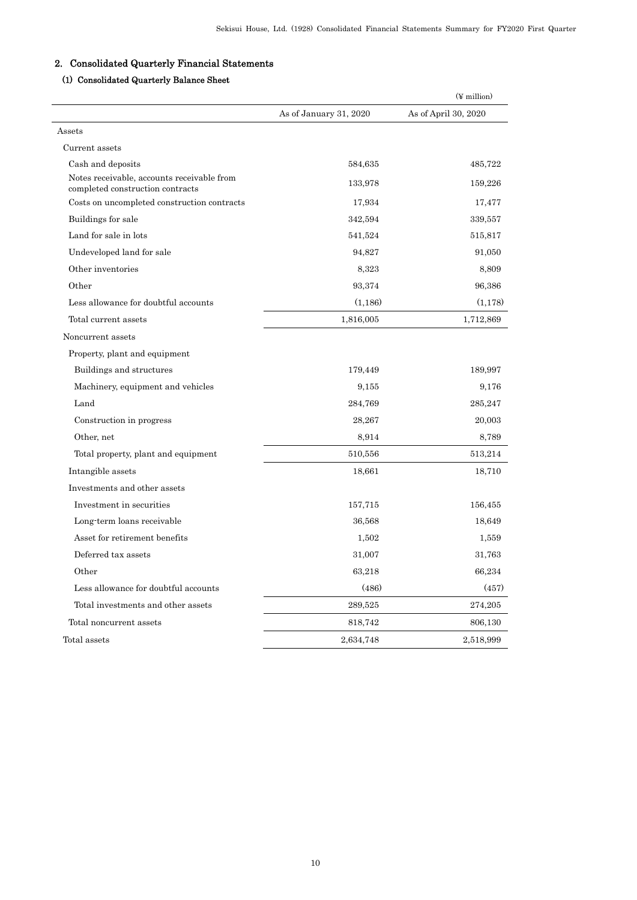# 2. Consolidated Quarterly Financial Statements

# (1) Consolidated Quarterly Balance Sheet

|                                                                                |                        | $(\frac{y}{x})$ million |
|--------------------------------------------------------------------------------|------------------------|-------------------------|
|                                                                                | As of January 31, 2020 | As of April 30, 2020    |
| Assets                                                                         |                        |                         |
| Current assets                                                                 |                        |                         |
| Cash and deposits                                                              | 584,635                | 485,722                 |
| Notes receivable, accounts receivable from<br>completed construction contracts | 133,978                | 159,226                 |
| Costs on uncompleted construction contracts                                    | 17,934                 | 17,477                  |
| Buildings for sale                                                             | 342,594                | 339,557                 |
| Land for sale in lots                                                          | 541,524                | 515,817                 |
| Undeveloped land for sale                                                      | 94,827                 | 91,050                  |
| Other inventories                                                              | 8,323                  | 8,809                   |
| Other                                                                          | 93,374                 | 96,386                  |
| Less allowance for doubtful accounts                                           | (1,186)                | (1,178)                 |
| Total current assets                                                           | 1,816,005              | 1,712,869               |
| Noncurrent assets                                                              |                        |                         |
| Property, plant and equipment                                                  |                        |                         |
| Buildings and structures                                                       | 179,449                | 189,997                 |
| Machinery, equipment and vehicles                                              | 9,155                  | 9,176                   |
| Land                                                                           | 284,769                | 285,247                 |
| Construction in progress                                                       | 28,267                 | 20,003                  |
| Other, net                                                                     | 8.914                  | 8,789                   |
| Total property, plant and equipment                                            | 510,556                | 513,214                 |
| Intangible assets                                                              | 18,661                 | 18,710                  |
| Investments and other assets                                                   |                        |                         |
| Investment in securities                                                       | 157,715                | 156,455                 |
| Long term loans receivable                                                     | 36,568                 | 18,649                  |
| Asset for retirement benefits                                                  | 1,502                  | 1,559                   |
| Deferred tax assets                                                            | 31,007                 | 31,763                  |
| Other                                                                          | 63,218                 | 66,234                  |
| Less allowance for doubtful accounts                                           | (486)                  | (457)                   |
| Total investments and other assets                                             | 289,525                | 274,205                 |
| Total noncurrent assets                                                        | 818,742                | 806,130                 |
| Total assets                                                                   | 2,634,748              | 2,518,999               |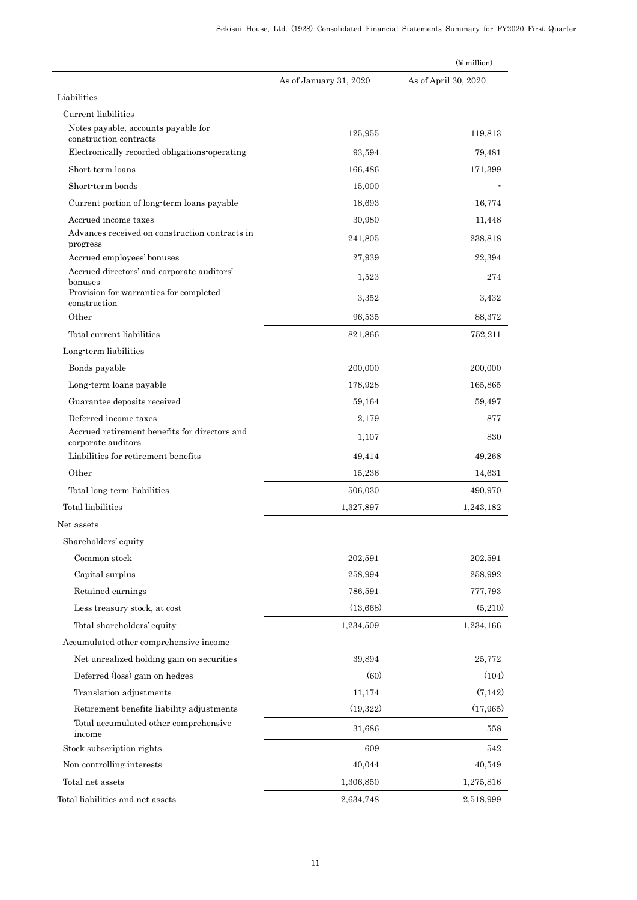|                                                                     |                        | $(\frac{y}{x})$ million |
|---------------------------------------------------------------------|------------------------|-------------------------|
|                                                                     | As of January 31, 2020 | As of April 30, 2020    |
| Liabilities                                                         |                        |                         |
| Current liabilities                                                 |                        |                         |
| Notes payable, accounts payable for<br>construction contracts       | 125,955                | 119,813                 |
| Electronically recorded obligations operating                       | 93,594                 | 79,481                  |
| Short-term loans                                                    | 166,486                | 171,399                 |
| Short-term bonds                                                    | 15,000                 |                         |
| Current portion of long-term loans payable                          | 18,693                 | 16,774                  |
| Accrued income taxes                                                | 30,980                 | 11,448                  |
| Advances received on construction contracts in<br>progress          | 241,805                | 238,818                 |
| Accrued employees' bonuses                                          | 27,939                 | 22,394                  |
| Accrued directors' and corporate auditors'<br>bonuses               | 1,523                  | 274                     |
| Provision for warranties for completed<br>construction              | 3,352                  | 3,432                   |
| Other                                                               | 96,535                 | 88,372                  |
| Total current liabilities                                           | 821,866                | 752,211                 |
| Long-term liabilities                                               |                        |                         |
| Bonds payable                                                       | 200,000                | 200,000                 |
| Long-term loans payable                                             | 178,928                | 165,865                 |
| Guarantee deposits received                                         | 59,164                 | 59,497                  |
| Deferred income taxes                                               | 2,179                  | 877                     |
| Accrued retirement benefits for directors and<br>corporate auditors | 1,107                  | 830                     |
| Liabilities for retirement benefits                                 | 49,414                 | 49,268                  |
| Other                                                               | 15,236                 | 14,631                  |
| Total long-term liabilities                                         | 506,030                | 490,970                 |
| Total liabilities                                                   | 1,327,897              | 1,243,182               |
| Net assets                                                          |                        |                         |
| Shareholders' equity                                                |                        |                         |
| Common stock                                                        | 202,591                | 202,591                 |
| Capital surplus                                                     | 258,994                | 258,992                 |
| Retained earnings                                                   | 786,591                | 777,793                 |
| Less treasury stock, at cost                                        | (13,668)               | (5,210)                 |
| Total shareholders' equity                                          | 1,234,509              | 1,234,166               |
| Accumulated other comprehensive income                              |                        |                         |
| Net unrealized holding gain on securities                           | 39,894                 | 25,772                  |
| Deferred (loss) gain on hedges                                      | (60)                   | (104)                   |
| Translation adjustments                                             | 11,174                 | (7,142)                 |
| Retirement benefits liability adjustments                           | (19, 322)              | (17, 965)               |
| Total accumulated other comprehensive<br>income                     | 31,686                 | 558                     |
| Stock subscription rights                                           | 609                    | 542                     |
| Non-controlling interests                                           | 40,044                 | 40,549                  |
| Total net assets                                                    | 1,306,850              | 1,275,816               |
| Total liabilities and net assets                                    | 2,634,748              | 2,518,999               |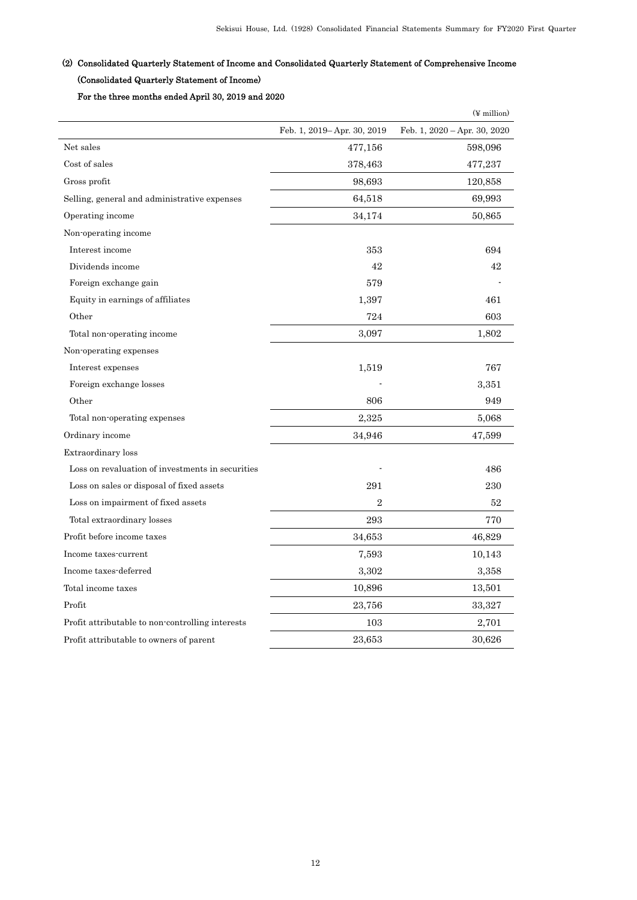# (2) Consolidated Quarterly Statement of Income and Consolidated Quarterly Statement of Comprehensive Income

# (Consolidated Quarterly Statement of Income)

For the three months ended April 30, 2019 and 2020

|                                                  |                            | $(\frac{y}{x})$ million      |
|--------------------------------------------------|----------------------------|------------------------------|
|                                                  | Feb. 1, 2019–Apr. 30, 2019 | Feb. 1, 2020 - Apr. 30, 2020 |
| Net sales                                        | 477,156                    | 598,096                      |
| Cost of sales                                    | 378,463                    | 477,237                      |
| Gross profit                                     | 98,693                     | 120,858                      |
| Selling, general and administrative expenses     | 64,518                     | 69,993                       |
| Operating income                                 | 34,174                     | 50,865                       |
| Non-operating income                             |                            |                              |
| Interest income                                  | 353                        | 694                          |
| Dividends income                                 | 42                         | 42                           |
| Foreign exchange gain                            | 579                        |                              |
| Equity in earnings of affiliates                 | 1,397                      | 461                          |
| Other                                            | 724                        | 603                          |
| Total non-operating income                       | 3,097                      | 1,802                        |
| Non-operating expenses                           |                            |                              |
| Interest expenses                                | 1,519                      | 767                          |
| Foreign exchange losses                          |                            | 3,351                        |
| Other                                            | 806                        | 949                          |
| Total non-operating expenses                     | 2,325                      | 5,068                        |
| Ordinary income                                  | 34,946                     | 47,599                       |
| Extraordinary loss                               |                            |                              |
| Loss on revaluation of investments in securities |                            | 486                          |
| Loss on sales or disposal of fixed assets        | 291                        | 230                          |
| Loss on impairment of fixed assets               | $\overline{2}$             | 52                           |
| Total extraordinary losses                       | 293                        | 770                          |
| Profit before income taxes                       | 34,653                     | 46,829                       |
| Income taxes-current                             | 7,593                      | 10,143                       |
| Income taxes-deferred                            | 3,302                      | 3,358                        |
| Total income taxes                               | 10,896                     | 13,501                       |
| Profit                                           | 23,756                     | 33,327                       |
| Profit attributable to non-controlling interests | 103                        | 2,701                        |
| Profit attributable to owners of parent          | 23,653                     | 30,626                       |